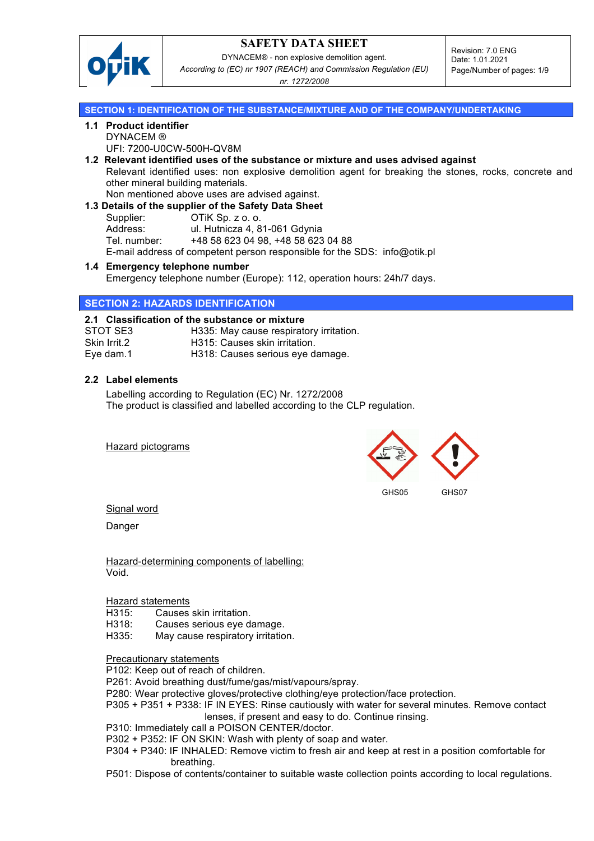

DYNACEM® - non explosive demolition agent. *According to (EC) nr 1907 (REACH) and Commission Regulation (EU)* 

Revision: 7.0 ENG Date: 1.01.2021 Page/Number of pages: 1/9

*nr. 1272/2008*

### **SECTION 1: IDENTIFICATION OF THE SUBSTANCE/MIXTURE AND OF THE COMPANY/UNDERTAKING**

# **1.1 Product identifier**

DYNACEM ®

UFI: 7200-U0CW-500H-QV8M

- **1.2 Relevant identified uses of the substance or mixture and uses advised against** Relevant identified uses: non explosive demolition agent for breaking the stones, rocks, concrete and other mineral building materials.
	- Non mentioned above uses are advised against.
- **1.3 Details of the supplier of the Safety Data Sheet** Supplier: **OTiK Sp. z o. o.** Address: ul. Hutnicza 4, 81-061 Gdynia Tel. number: +48 58 623 04 98, +48 58 623 04 88

E-mail address of competent person responsible for the SDS: info@otik.pl

**1.4 Emergency telephone number** Emergency telephone number (Europe): 112, operation hours: 24h/7 days.

## **SECTION 2: HAZARDS IDENTIFICATION**

## **2.1 Classification of the substance or mixture**

| STOT SE3     | H335: May cause respiratory irritation. |
|--------------|-----------------------------------------|
| Skin Irrit.2 | H315: Causes skin irritation.           |
| Eye dam.1    | H318: Causes serious eye damage.        |

### **2.2 Label elements**

Labelling according to Regulation (EC) Nr. 1272/2008 The product is classified and labelled according to the CLP regulation.

Hazard pictograms



Signal word

Danger

Hazard-determining components of labelling: Void.

### Hazard statements

H315: Causes skin irritation.

- H318: Causes serious eye damage.
- H335: May cause respiratory irritation.

### Precautionary statements

P102: Keep out of reach of children.

- P261: Avoid breathing dust/fume/gas/mist/vapours/spray.
- P280: Wear protective gloves/protective clothing/eye protection/face protection.
- P305 + P351 + P338: IF IN EYES: Rinse cautiously with water for several minutes. Remove contact lenses, if present and easy to do. Continue rinsing.
- P310: Immediately call a POISON CENTER/doctor.
- P302 + P352: IF ON SKIN: Wash with plenty of soap and water.
- P304 + P340: IF INHALED: Remove victim to fresh air and keep at rest in a position comfortable for breathing.
- P501: Dispose of contents/container to suitable waste collection points according to local regulations.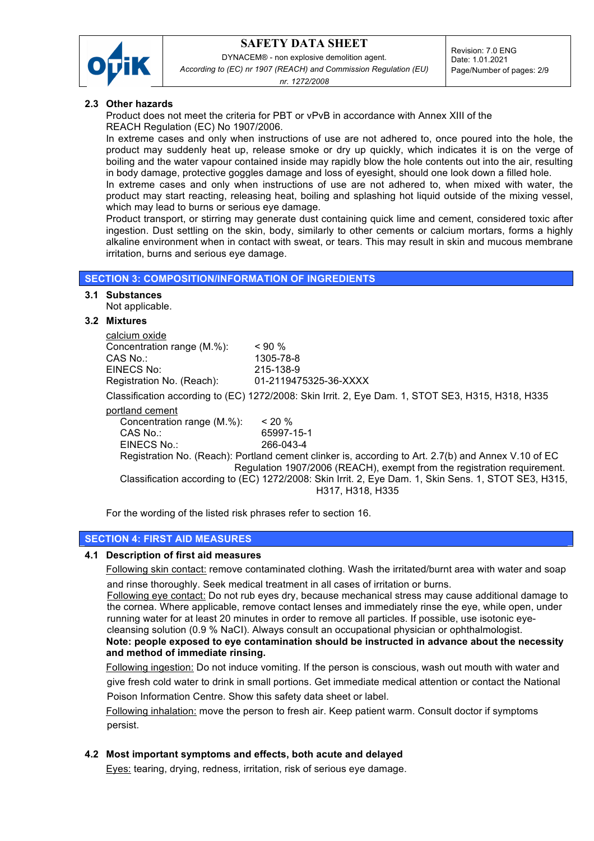

DYNACEM® - non explosive demolition agent. *According to (EC) nr 1907 (REACH) and Commission Regulation (EU)* 

Revision: 7.0 ENG Date: 1.01.2021 Page/Number of pages: 2/9

*nr. 1272/2008*

### **2.3 Other hazards**

Product does not meet the criteria for PBT or vPvB in accordance with Annex XIII of the REACH Regulation (EC) No 1907/2006.

In extreme cases and only when instructions of use are not adhered to, once poured into the hole, the product may suddenly heat up, release smoke or dry up quickly, which indicates it is on the verge of boiling and the water vapour contained inside may rapidly blow the hole contents out into the air, resulting in body damage, protective goggles damage and loss of eyesight, should one look down a filled hole.

In extreme cases and only when instructions of use are not adhered to, when mixed with water, the product may start reacting, releasing heat, boiling and splashing hot liquid outside of the mixing vessel, which may lead to burns or serious eye damage.

Product transport, or stirring may generate dust containing quick lime and cement, considered toxic after ingestion. Dust settling on the skin, body, similarly to other cements or calcium mortars, forms a highly alkaline environment when in contact with sweat, or tears. This may result in skin and mucous membrane irritation, burns and serious eye damage.

### **SECTION 3: COMPOSITION/INFORMATION OF INGREDIENTS**

### **3.1 Substances**

Not applicable.

### **3.2 Mixtures**

| calcium oxide              |                                                                                                      |
|----------------------------|------------------------------------------------------------------------------------------------------|
| Concentration range (M.%): | $< 90 \%$                                                                                            |
| CAS No∴                    | 1305-78-8                                                                                            |
| EINECS No:                 | 215-138-9                                                                                            |
| Registration No. (Reach):  | 01-2119475325-36-XXXX                                                                                |
|                            | Classification according to (EC) 1272/2008: Skin Irrit. 2, Eye Dam. 1, STOT SE3, H315, H318, H335    |
| portland cement            |                                                                                                      |
| Concentration range (M.%): | $< 20 \%$                                                                                            |
| CAS No.                    | 65997-15-1                                                                                           |
| EINECS No.:                | 266-043-4                                                                                            |
|                            | Registration No. (Reach): Portland cement clinker is, according to Art. 2.7(b) and Annex V.10 of EC  |
|                            | Regulation 1907/2006 (REACH), exempt from the registration requirement.                              |
|                            | Classification according to (EC) 1272/2008: Skin Irrit. 2, Eye Dam. 1, Skin Sens. 1, STOT SE3, H315, |
|                            | H317, H318, H335                                                                                     |

For the wording of the listed risk phrases refer to section 16.

## **SECTION 4: FIRST AID MEASURES**

## **4.1 Description of first aid measures**

Following skin contact: remove contaminated clothing. Wash the irritated/burnt area with water and soap

 and rinse thoroughly. Seek medical treatment in all cases of irritation or burns. Following eye contact: Do not rub eyes dry, because mechanical stress may cause additional damage to the cornea. Where applicable, remove contact lenses and immediately rinse the eye, while open, under

 running water for at least 20 minutes in order to remove all particles. If possible, use isotonic eye cleansing solution (0.9 % NaCI). Always consult an occupational physician or ophthalmologist. **Note: people exposed to eye contamination should be instructed in advance about the necessity and method of immediate rinsing.**

Following ingestion: Do not induce vomiting. If the person is conscious, wash out mouth with water and give fresh cold water to drink in small portions. Get immediate medical attention or contact the National Poison Information Centre. Show this safety data sheet or label.

Following inhalation: move the person to fresh air. Keep patient warm. Consult doctor if symptoms persist.

## **4.2 Most important symptoms and effects, both acute and delayed**

Eyes: tearing, drying, redness, irritation, risk of serious eye damage.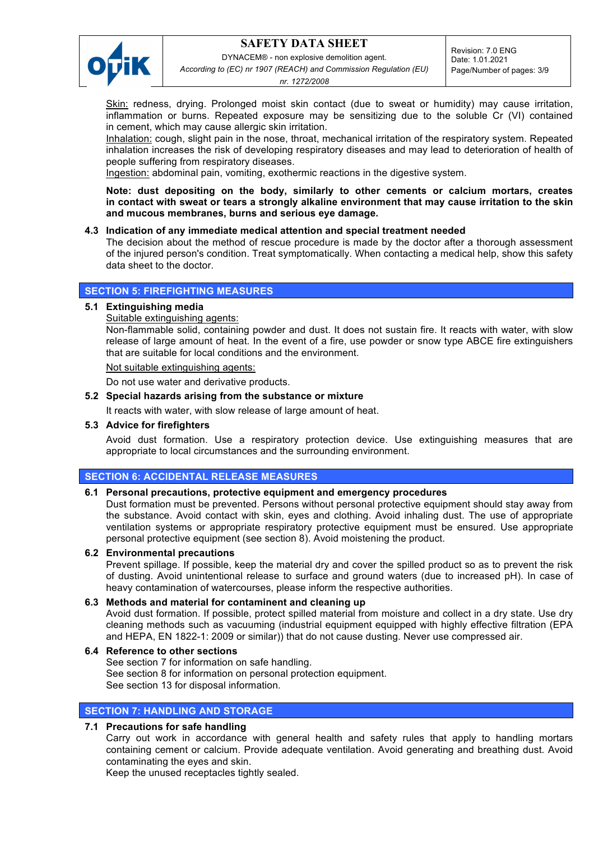

DYNACEM® - non explosive demolition agent.

*According to (EC) nr 1907 (REACH) and Commission Regulation (EU)* 

Revision: 7.0 ENG Date: 1.01.2021 Page/Number of pages: 3/9

*nr. 1272/2008*

Skin: redness, drying. Prolonged moist skin contact (due to sweat or humidity) may cause irritation, inflammation or burns. Repeated exposure may be sensitizing due to the soluble Cr (VI) contained in cement, which may cause allergic skin irritation.

Inhalation: cough, slight pain in the nose, throat, mechanical irritation of the respiratory system. Repeated inhalation increases the risk of developing respiratory diseases and may lead to deterioration of health of people suffering from respiratory diseases.

Ingestion: abdominal pain, vomiting, exothermic reactions in the digestive system.

**Note: dust depositing on the body, similarly to other cements or calcium mortars, creates in contact with sweat or tears a strongly alkaline environment that may cause irritation to the skin and mucous membranes, burns and serious eye damage.**

## **4.3 Indication of any immediate medical attention and special treatment needed**

The decision about the method of rescue procedure is made by the doctor after a thorough assessment of the injured person's condition. Treat symptomatically. When contacting a medical help, show this safety data sheet to the doctor.

## **SECTION 5: FIREFIGHTING MEASURES**

## **5.1 Extinguishing media**

Suitable extinguishing agents:

Non-flammable solid, containing powder and dust. It does not sustain fire. It reacts with water, with slow release of large amount of heat. In the event of a fire, use powder or snow type ABCE fire extinguishers that are suitable for local conditions and the environment.

Not suitable extinguishing agents:

Do not use water and derivative products.

## **5.2 Special hazards arising from the substance or mixture**

It reacts with water, with slow release of large amount of heat.

## **5.3 Advice for firefighters**

Avoid dust formation. Use a respiratory protection device. Use extinguishing measures that are appropriate to local circumstances and the surrounding environment.

## **SECTION 6: ACCIDENTAL RELEASE MEASURES**

## **6.1 Personal precautions, protective equipment and emergency procedures**

Dust formation must be prevented. Persons without personal protective equipment should stay away from the substance. Avoid contact with skin, eyes and clothing. Avoid inhaling dust. The use of appropriate ventilation systems or appropriate respiratory protective equipment must be ensured. Use appropriate personal protective equipment (see section 8). Avoid moistening the product.

### **6.2 Environmental precautions**

Prevent spillage. If possible, keep the material dry and cover the spilled product so as to prevent the risk of dusting. Avoid unintentional release to surface and ground waters (due to increased pH). In case of heavy contamination of watercourses, please inform the respective authorities.

## **6.3 Methods and material for contaminent and cleaning up**

Avoid dust formation. If possible, protect spilled material from moisture and collect in a dry state. Use dry cleaning methods such as vacuuming (industrial equipment equipped with highly effective filtration (EPA and HEPA, EN 1822-1: 2009 or similar)) that do not cause dusting. Never use compressed air.

## **6.4 Reference to other sections**

See section 7 for information on safe handling. See section 8 for information on personal protection equipment. See section 13 for disposal information.

## **SECTION 7: HANDLING AND STORAGE**

## **7.1 Precautions for safe handling**

Carry out work in accordance with general health and safety rules that apply to handling mortars containing cement or calcium. Provide adequate ventilation. Avoid generating and breathing dust. Avoid contaminating the eyes and skin.

Keep the unused receptacles tightly sealed.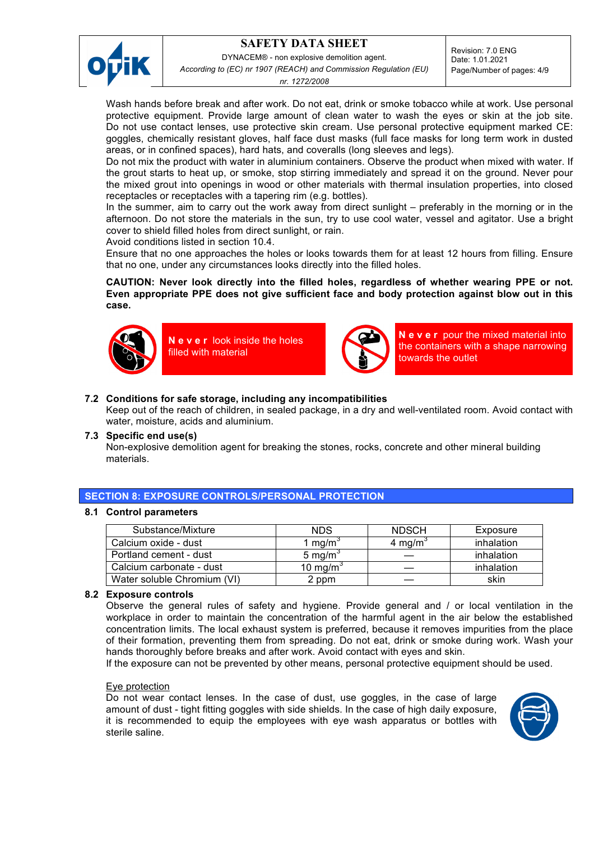

DYNACEM® - non explosive demolition agent.

*According to (EC) nr 1907 (REACH) and Commission Regulation (EU)* 

Revision: 7.0 ENG Date: 1.01.2021

*nr. 1272/2008*

Page/Number of pages: 4/9

Wash hands before break and after work. Do not eat, drink or smoke tobacco while at work. Use personal protective equipment. Provide large amount of clean water to wash the eyes or skin at the job site. Do not use contact lenses, use protective skin cream. Use personal protective equipment marked CE: goggles, chemically resistant gloves, half face dust masks (full face masks for long term work in dusted areas, or in confined spaces), hard hats, and coveralls (long sleeves and legs).

Do not mix the product with water in aluminium containers. Observe the product when mixed with water. If the grout starts to heat up, or smoke, stop stirring immediately and spread it on the ground. Never pour the mixed grout into openings in wood or other materials with thermal insulation properties, into closed receptacles or receptacles with a tapering rim (e.g. bottles).

In the summer, aim to carry out the work away from direct sunlight – preferably in the morning or in the afternoon. Do not store the materials in the sun, try to use cool water, vessel and agitator. Use a bright cover to shield filled holes from direct sunlight, or rain.

Avoid conditions listed in section 10.4.

Ensure that no one approaches the holes or looks towards them for at least 12 hours from filling. Ensure that no one, under any circumstances looks directly into the filled holes.

## **CAUTION: Never look directly into the filled holes, regardless of whether wearing PPE or not. Even appropriate PPE does not give sufficient face and body protection against blow out in this case.**



 **N e v e r** look inside the holes filled with material



**N e v e r** pour the mixed material into the containers with a shape narrowing towards the outlet

## **7.2 Conditions for safe storage, including any incompatibilities**

Keep out of the reach of children, in sealed package, in a dry and well-ventilated room. Avoid contact with water, moisture, acids and aluminium.

### **7.3 Specific end use(s)**

Non-explosive demolition agent for breaking the stones, rocks, concrete and other mineral building materials.

## **SECTION 8: EXPOSURE CONTROLS/PERSONAL PROTECTION**

### **8.1 Control parameters**

| Substance/Mixture           | <b>NDS</b>           | <b>NDSCH</b>        | Exposure   |
|-----------------------------|----------------------|---------------------|------------|
| Calcium oxide - dust        | 1 mg/m°              | 4 mg/m <sup>3</sup> | inhalation |
| Portland cement - dust      | 5 mg/m $\degree$     |                     | inhalation |
| Calcium carbonate - dust    | 10 mg/m <sup>3</sup> |                     | inhalation |
| Water soluble Chromium (VI) | 2 ppm                |                     | skin       |

### **8.2 Exposure controls**

Observe the general rules of safety and hygiene. Provide general and / or local ventilation in the workplace in order to maintain the concentration of the harmful agent in the air below the established concentration limits. The local exhaust system is preferred, because it removes impurities from the place of their formation, preventing them from spreading. Do not eat, drink or smoke during work. Wash your hands thoroughly before breaks and after work. Avoid contact with eyes and skin.

If the exposure can not be prevented by other means, personal protective equipment should be used.

### Eye protection

Do not wear contact lenses. In the case of dust, use goggles, in the case of large amount of dust - tight fitting goggles with side shields. In the case of high daily exposure, it is recommended to equip the employees with eye wash apparatus or bottles with sterile saline.

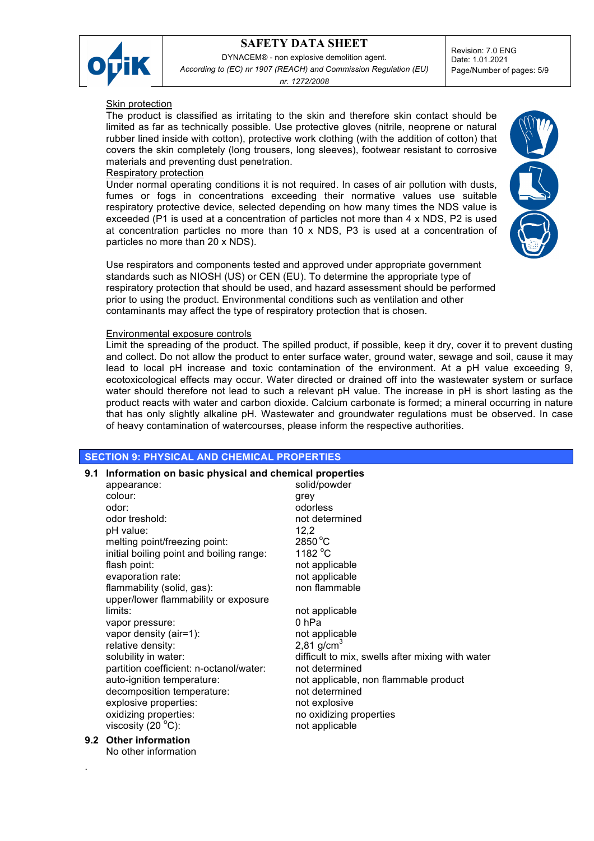

DYNACEM® - non explosive demolition agent. *According to (EC) nr 1907 (REACH) and Commission Regulation (EU)* 

*nr. 1272/2008*

Revision: 7.0 ENG Date: 1.01.2021 Page/Number of pages: 5/9

### Skin protection

The product is classified as irritating to the skin and therefore skin contact should be limited as far as technically possible. Use protective gloves (nitrile, neoprene or natural rubber lined inside with cotton), protective work clothing (with the addition of cotton) that covers the skin completely (long trousers, long sleeves), footwear resistant to corrosive materials and preventing dust penetration.

### Respiratory protection

Under normal operating conditions it is not required. In cases of air pollution with dusts, fumes or fogs in concentrations exceeding their normative values use suitable respiratory protective device, selected depending on how many times the NDS value is exceeded (P1 is used at a concentration of particles not more than 4 x NDS, P2 is used at concentration particles no more than 10 x NDS, P3 is used at a concentration of particles no more than 20 x NDS).

Use respirators and components tested and approved under appropriate government standards such as NIOSH (US) or CEN (EU). To determine the appropriate type of respiratory protection that should be used, and hazard assessment should be performed prior to using the product. Environmental conditions such as ventilation and other contaminants may affect the type of respiratory protection that is chosen.

### Environmental exposure controls

Limit the spreading of the product. The spilled product, if possible, keep it dry, cover it to prevent dusting and collect. Do not allow the product to enter surface water, ground water, sewage and soil, cause it may lead to local pH increase and toxic contamination of the environment. At a pH value exceeding 9, ecotoxicological effects may occur. Water directed or drained off into the wastewater system or surface water should therefore not lead to such a relevant pH value. The increase in pH is short lasting as the product reacts with water and carbon dioxide. Calcium carbonate is formed; a mineral occurring in nature that has only slightly alkaline pH. Wastewater and groundwater regulations must be observed. In case of heavy contamination of watercourses, please inform the respective authorities.

### **SECTION 9: PHYSICAL AND CHEMICAL PROPERTIES**

| 9.1 | Information on basic physical and chemical properties |                                                  |  |  |
|-----|-------------------------------------------------------|--------------------------------------------------|--|--|
|     | appearance:                                           | solid/powder                                     |  |  |
|     | colour:                                               | grey                                             |  |  |
|     | odor:                                                 | odorless                                         |  |  |
|     | odor treshold:                                        | not determined                                   |  |  |
|     | pH value:                                             | 12,2                                             |  |  |
|     | melting point/freezing point:                         | $2850^{\circ}$ C                                 |  |  |
|     | initial boiling point and boiling range:              | 1182 $\degree$ C                                 |  |  |
|     | flash point:                                          | not applicable                                   |  |  |
|     | evaporation rate:                                     | not applicable                                   |  |  |
|     | flammability (solid, gas):                            | non flammable                                    |  |  |
|     | upper/lower flammability or exposure                  |                                                  |  |  |
|     | limits:                                               | not applicable                                   |  |  |
|     | vapor pressure:                                       | 0 <sub>hPa</sub>                                 |  |  |
|     | vapor density (air=1):                                | not applicable                                   |  |  |
|     | relative density:                                     | 2,81 $q/cm^{3}$                                  |  |  |
|     | solubility in water:                                  | difficult to mix, swells after mixing with water |  |  |
|     | partition coefficient: n-octanol/water:               | not determined                                   |  |  |
|     | auto-ignition temperature:                            | not applicable, non flammable product            |  |  |
|     | decomposition temperature:                            | not determined                                   |  |  |
|     | explosive properties:                                 | not explosive                                    |  |  |
|     | oxidizing properties:                                 | no oxidizing properties                          |  |  |
|     | viscosity $(20^{\circ}$ C):                           | not applicable                                   |  |  |
|     |                                                       |                                                  |  |  |

#### **9.2 Other information** No other information

.

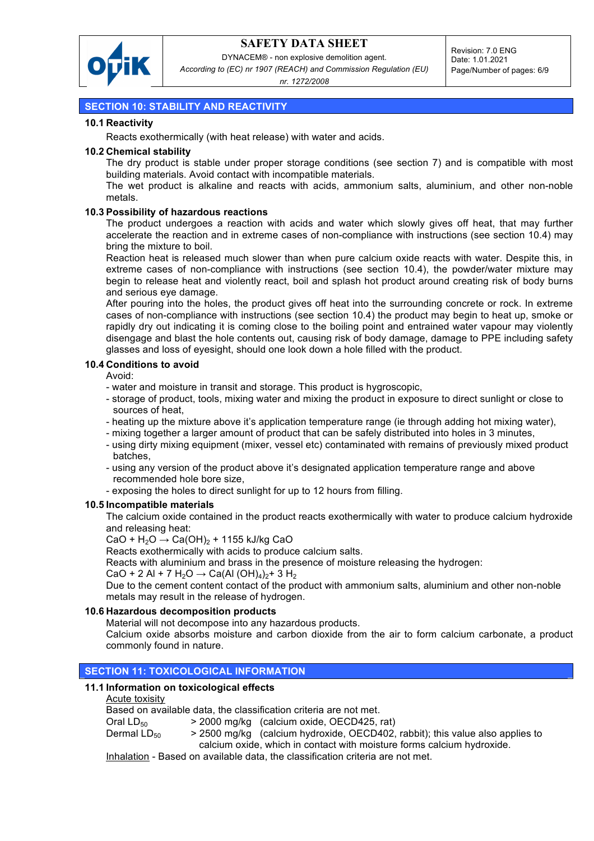

DYNACEM® - non explosive demolition agent.

*According to (EC) nr 1907 (REACH) and Commission Regulation (EU)* 

*nr. 1272/2008*

# **SECTION 10: STABILITY AND REACTIVITY**

## **10.1 Reactivity**

Reacts exothermically (with heat release) with water and acids.

### **10.2 Chemical stability**

The dry product is stable under proper storage conditions (see section 7) and is compatible with most building materials. Avoid contact with incompatible materials.

The wet product is alkaline and reacts with acids, ammonium salts, aluminium, and other non-noble metals.

## **10.3 Possibility of hazardous reactions**

The product undergoes a reaction with acids and water which slowly gives off heat, that may further accelerate the reaction and in extreme cases of non-compliance with instructions (see section 10.4) may bring the mixture to boil.

Reaction heat is released much slower than when pure calcium oxide reacts with water. Despite this, in extreme cases of non-compliance with instructions (see section 10.4), the powder/water mixture may begin to release heat and violently react, boil and splash hot product around creating risk of body burns and serious eye damage.

After pouring into the holes, the product gives off heat into the surrounding concrete or rock. In extreme cases of non-compliance with instructions (see section 10.4) the product may begin to heat up, smoke or rapidly dry out indicating it is coming close to the boiling point and entrained water vapour may violently disengage and blast the hole contents out, causing risk of body damage, damage to PPE including safety glasses and loss of eyesight, should one look down a hole filled with the product.

## **10.4 Conditions to avoid**

Avoid:

- water and moisture in transit and storage. This product is hygroscopic,
- storage of product, tools, mixing water and mixing the product in exposure to direct sunlight or close to sources of heat,
- heating up the mixture above it's application temperature range (ie through adding hot mixing water),
- mixing together a larger amount of product that can be safely distributed into holes in 3 minutes,
- using dirty mixing equipment (mixer, vessel etc) contaminated with remains of previously mixed product batches,
- using any version of the product above it's designated application temperature range and above recommended hole bore size,
- exposing the holes to direct sunlight for up to 12 hours from filling.

### **10.5 Incompatible materials**

The calcium oxide contained in the product reacts exothermically with water to produce calcium hydroxide and releasing heat:

CaO +  $H_2O \rightarrow Ca(OH)_2$  + 1155 kJ/kg CaO

Reacts exothermically with acids to produce calcium salts.

Reacts with aluminium and brass in the presence of moisture releasing the hydrogen:

 $CaO + 2$  Al + 7 H<sub>2</sub>O  $\rightarrow$  Ca(Al (OH)<sub>4</sub>)<sub>2</sub>+ 3 H<sub>2</sub>

Due to the cement content contact of the product with ammonium salts, aluminium and other non-noble metals may result in the release of hydrogen.

## **10.6 Hazardous decomposition products**

Material will not decompose into any hazardous products.

Calcium oxide absorbs moisture and carbon dioxide from the air to form calcium carbonate, a product commonly found in nature.

## **SECTION 11: TOXICOLOGICAL INFORMATION**

## **11.1 Information on toxicological effects**

### Acute toxisity

Based on available data, the classification criteria are not met.

Oral  $LD_{50}$  > 2000 mg/kg (calcium oxide, OECD425, rat)

Dermal LD<sub>50</sub>  $>$  2500 mg/kg (calcium hydroxide, OECD402, rabbit); this value also applies to calcium oxide, which in contact with moisture forms calcium hydroxide.

Inhalation - Based on available data, the classification criteria are not met.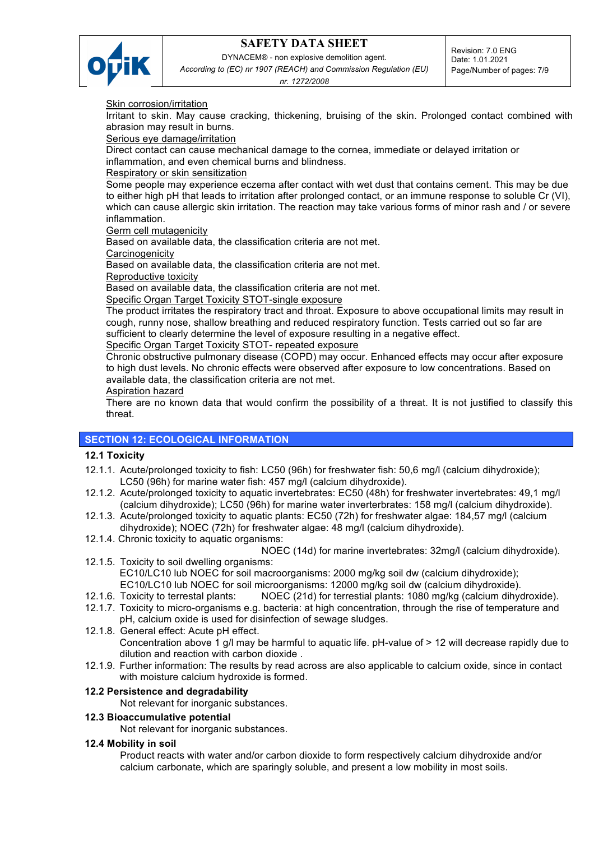

DYNACEM® - non explosive demolition agent. *According to (EC) nr 1907 (REACH) and Commission Regulation (EU)* 

*nr. 1272/2008*

Skin corrosion/irritation

Irritant to skin. May cause cracking, thickening, bruising of the skin. Prolonged contact combined with abrasion may result in burns.

Serious eye damage/irritation

Direct contact can cause mechanical damage to the cornea, immediate or delayed irritation or inflammation, and even chemical burns and blindness.

### Respiratory or skin sensitization

Some people may experience eczema after contact with wet dust that contains cement. This may be due to either high pH that leads to irritation after prolonged contact, or an immune response to soluble Cr (VI), which can cause allergic skin irritation. The reaction may take various forms of minor rash and / or severe inflammation.

Germ cell mutagenicity

Based on available data, the classification criteria are not met.

**Carcinogenicity** 

Based on available data, the classification criteria are not met.

Reproductive toxicity

Based on available data, the classification criteria are not met.

Specific Organ Target Toxicity STOT-single exposure

The product irritates the respiratory tract and throat. Exposure to above occupational limits may result in cough, runny nose, shallow breathing and reduced respiratory function. Tests carried out so far are sufficient to clearly determine the level of exposure resulting in a negative effect.

# Specific Organ Target Toxicity STOT- repeated exposure

Chronic obstructive pulmonary disease (COPD) may occur. Enhanced effects may occur after exposure to high dust levels. No chronic effects were observed after exposure to low concentrations. Based on available data, the classification criteria are not met.

### Aspiration hazard

There are no known data that would confirm the possibility of a threat. It is not justified to classify this threat.

## **SECTION 12: ECOLOGICAL INFORMATION**

## **12.1 Toxicity**

- 12.1.1. Acute/prolonged toxicity to fish: LC50 (96h) for freshwater fish: 50,6 mg/l (calcium dihydroxide); LC50 (96h) for marine water fish: 457 mg/l (calcium dihydroxide).
- 12.1.2. Acute/prolonged toxicity to aquatic invertebrates: EC50 (48h) for freshwater invertebrates: 49,1 mg/l (calcium dihydroxide); LC50 (96h) for marine water inverterbrates: 158 mg/l (calcium dihydroxide).
- 12.1.3. Acute/prolonged toxicity to aquatic plants: EC50 (72h) for freshwater algae: 184,57 mg/l (calcium dihydroxide); NOEC (72h) for freshwater algae: 48 mg/l (calcium dihydroxide).
- 12.1.4. Chronic toxicity to aquatic organisms:

NOEC (14d) for marine invertebrates: 32mg/l (calcium dihydroxide).

- 12.1.5. Toxicity to soil dwelling organisms: EC10/LC10 lub NOEC for soil macroorganisms: 2000 mg/kg soil dw (calcium dihydroxide); EC10/LC10 lub NOEC for soil microorganisms: 12000 mg/kg soil dw (calcium dihydroxide).
- 12.1.6. Toxicity to terrestal plants: NOEC (21d) for terrestial plants: 1080 mg/kg (calcium dihydroxide).
- 12.1.7. Toxicity to micro-organisms e.g. bacteria: at high concentration, through the rise of temperature and pH, calcium oxide is used for disinfection of sewage sludges.
- 12.1.8. General effect: Acute pH effect. Concentration above 1 g/l may be harmful to aquatic life. pH-value of > 12 will decrease rapidly due to dilution and reaction with carbon dioxide .
- 12.1.9. Further information: The results by read across are also applicable to calcium oxide, since in contact with moisture calcium hydroxide is formed.

## **12.2 Persistence and degradability**

Not relevant for inorganic substances.

## **12.3 Bioaccumulative potential**

Not relevant for inorganic substances.

## **12.4 Mobility in soil**

Product reacts with water and/or carbon dioxide to form respectively calcium dihydroxide and/or calcium carbonate, which are sparingly soluble, and present a low mobility in most soils.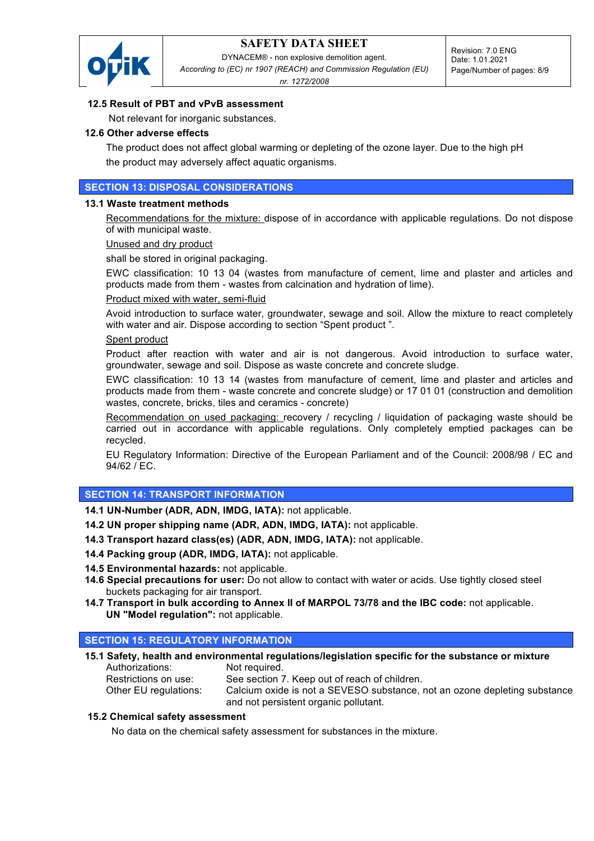

DYNACEM® - non explosive demolition agent. *According to (EC) nr 1907 (REACH) and Commission Regulation (EU)* 

*nr. 1272/2008*

# **12.5 Result of PBT and vPvB assessment**

Not relevant for inorganic substances.

### **12.6 Other adverse effects**

The product does not affect global warming or depleting of the ozone layer. Due to the high pH the product may adversely affect aquatic organisms.

## **SECTION 13: DISPOSAL CONSIDERATIONS**

### **13.1 Waste treatment methods**

Recommendations for the mixture: dispose of in accordance with applicable regulations. Do not dispose of with municipal waste.

### Unused and dry product

shall be stored in original packaging.

EWC classification: 10 13 04 (wastes from manufacture of cement, lime and plaster and articles and products made from them - wastes from calcination and hydration of lime).

### Product mixed with water, semi-fluid

Avoid introduction to surface water, groundwater, sewage and soil. Allow the mixture to react completely with water and air. Dispose according to section "Spent product".

### Spent product

Product after reaction with water and air is not dangerous. Avoid introduction to surface water, groundwater, sewage and soil. Dispose as waste concrete and concrete sludge.

EWC classification: 10 13 14 (wastes from manufacture of cement, lime and plaster and articles and products made from them - waste concrete and concrete sludge) or 17 01 01 (construction and demolition wastes, concrete, bricks, tiles and ceramics - concrete)

Recommendation on used packaging: recovery / recycling / liquidation of packaging waste should be carried out in accordance with applicable regulations. Only completely emptied packages can be recycled.

EU Regulatory Information: Directive of the European Parliament and of the Council: 2008/98 / EC and 94/62 / EC.

### **SECTION 14: TRANSPORT INFORMATION**

**14.1 UN-Number (ADR, ADN, IMDG, IATA):** not applicable.

**14.2 UN proper shipping name (ADR, ADN, IMDG, IATA):** not applicable.

**14.3 Transport hazard class(es) (ADR, ADN, IMDG, IATA):** not applicable.

**14.4 Packing group (ADR, IMDG, IATA):** not applicable.

- **14.5 Environmental hazards:** not applicable.
- **14.6 Special precautions for user:** Do not allow to contact with water or acids. Use tightly closed steel buckets packaging for air transport.
- **14.7 Transport in bulk according to Annex II of MARPOL 73/78 and the IBC code:** not applicable. **UN "Model regulation":** not applicable.

### **SECTION 15: REGULATORY INFORMATION**

**15.1 Safety, health and environmental regulations/legislation specific for the substance or mixture** Authorizations: Not required. Restrictions on use: See section 7. Keep out of reach of children. Other EU regulations: Calcium oxide is not a SEVESO substance, not an ozone depleting substance and not persistent organic pollutant.

### **15.2 Chemical safety assessment**

No data on the chemical safety assessment for substances in the mixture.